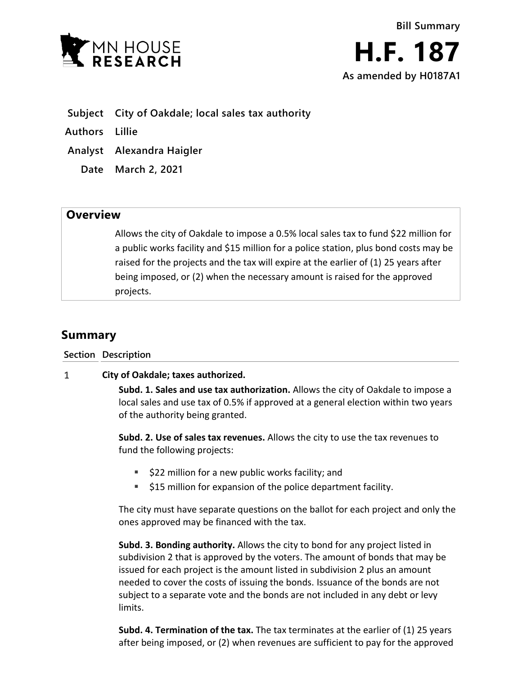

**Subject City of Oakdale; local sales tax authority**

**Authors Lillie**

- **Analyst Alexandra Haigler**
	- **Date March 2, 2021**

## **Overview**

Allows the city of Oakdale to impose a 0.5% local sales tax to fund \$22 million for a public works facility and \$15 million for a police station, plus bond costs may be raised for the projects and the tax will expire at the earlier of (1) 25 years after being imposed, or (2) when the necessary amount is raised for the approved projects.

## **Summary**

**Section Description**

## $\mathbf{1}$ **City of Oakdale; taxes authorized.**

**Subd. 1. Sales and use tax authorization.** Allows the city of Oakdale to impose a local sales and use tax of 0.5% if approved at a general election within two years of the authority being granted.

**Subd. 2. Use of sales tax revenues.** Allows the city to use the tax revenues to fund the following projects:

- **522 million for a new public works facility; and**
- **515 million for expansion of the police department facility.**

The city must have separate questions on the ballot for each project and only the ones approved may be financed with the tax.

**Subd. 3. Bonding authority.** Allows the city to bond for any project listed in subdivision 2 that is approved by the voters. The amount of bonds that may be issued for each project is the amount listed in subdivision 2 plus an amount needed to cover the costs of issuing the bonds. Issuance of the bonds are not subject to a separate vote and the bonds are not included in any debt or levy limits.

**Subd. 4. Termination of the tax.** The tax terminates at the earlier of (1) 25 years after being imposed, or (2) when revenues are sufficient to pay for the approved